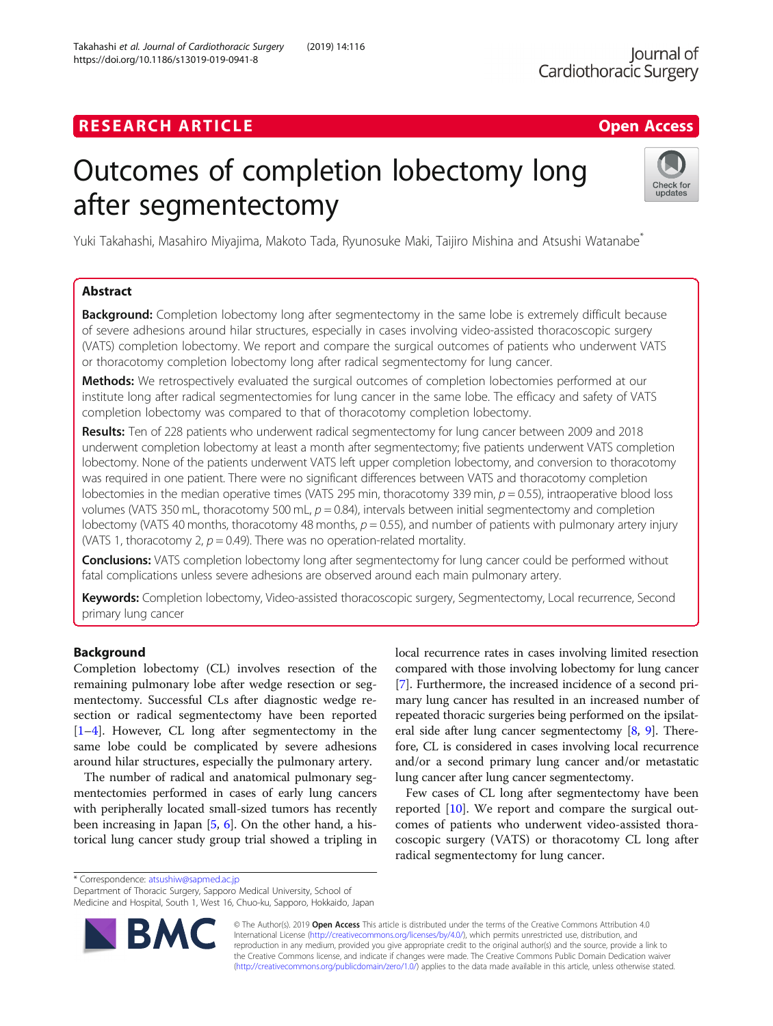## **RESEARCH ARTICLE Example 2018 12:30 The Contract of Contract ACCESS**

# Outcomes of completion lobectomy long after segmentectomy



Yuki Takahashi, Masahiro Miyajima, Makoto Tada, Ryunosuke Maki, Taijiro Mishina and Atsushi Watanabe\*

## Abstract

**Background:** Completion lobectomy long after segmentectomy in the same lobe is extremely difficult because of severe adhesions around hilar structures, especially in cases involving video-assisted thoracoscopic surgery (VATS) completion lobectomy. We report and compare the surgical outcomes of patients who underwent VATS or thoracotomy completion lobectomy long after radical segmentectomy for lung cancer.

Methods: We retrospectively evaluated the surgical outcomes of completion lobectomies performed at our institute long after radical segmentectomies for lung cancer in the same lobe. The efficacy and safety of VATS completion lobectomy was compared to that of thoracotomy completion lobectomy.

Results: Ten of 228 patients who underwent radical segmentectomy for lung cancer between 2009 and 2018 underwent completion lobectomy at least a month after segmentectomy; five patients underwent VATS completion lobectomy. None of the patients underwent VATS left upper completion lobectomy, and conversion to thoracotomy was required in one patient. There were no significant differences between VATS and thoracotomy completion lobectomies in the median operative times (VATS 295 min, thoracotomy 339 min,  $p = 0.55$ ), intraoperative blood loss volumes (VATS 350 mL, thoracotomy 500 mL,  $p = 0.84$ ), intervals between initial segmentectomy and completion lobectomy (VATS 40 months, thoracotomy 48 months,  $p = 0.55$ ), and number of patients with pulmonary artery injury (VATS 1, thoracotomy 2,  $p = 0.49$ ). There was no operation-related mortality.

**Conclusions:** VATS completion lobectomy long after segmentectomy for lung cancer could be performed without fatal complications unless severe adhesions are observed around each main pulmonary artery.

Keywords: Completion lobectomy, Video-assisted thoracoscopic surgery, Segmentectomy, Local recurrence, Second primary lung cancer

## Background

Completion lobectomy (CL) involves resection of the remaining pulmonary lobe after wedge resection or segmentectomy. Successful CLs after diagnostic wedge resection or radical segmentectomy have been reported [[1](#page-5-0)–[4\]](#page-5-0). However, CL long after segmentectomy in the same lobe could be complicated by severe adhesions around hilar structures, especially the pulmonary artery.

The number of radical and anatomical pulmonary segmentectomies performed in cases of early lung cancers with peripherally located small-sized tumors has recently been increasing in Japan [\[5](#page-5-0), [6](#page-5-0)]. On the other hand, a historical lung cancer study group trial showed a tripling in local recurrence rates in cases involving limited resection compared with those involving lobectomy for lung cancer [[7\]](#page-5-0). Furthermore, the increased incidence of a second primary lung cancer has resulted in an increased number of repeated thoracic surgeries being performed on the ipsilateral side after lung cancer segmentectomy [\[8](#page-5-0), [9](#page-5-0)]. Therefore, CL is considered in cases involving local recurrence and/or a second primary lung cancer and/or metastatic lung cancer after lung cancer segmentectomy.

Few cases of CL long after segmentectomy have been reported [\[10](#page-5-0)]. We report and compare the surgical outcomes of patients who underwent video-assisted thoracoscopic surgery (VATS) or thoracotomy CL long after radical segmentectomy for lung cancer.

\* Correspondence: [atsushiw@sapmed.ac.jp](mailto:atsushiw@sapmed.ac.jp)

Department of Thoracic Surgery, Sapporo Medical University, School of Medicine and Hospital, South 1, West 16, Chuo-ku, Sapporo, Hokkaido, Japan



© The Author(s). 2019 Open Access This article is distributed under the terms of the Creative Commons Attribution 4.0 International License [\(http://creativecommons.org/licenses/by/4.0/](http://creativecommons.org/licenses/by/4.0/)), which permits unrestricted use, distribution, and reproduction in any medium, provided you give appropriate credit to the original author(s) and the source, provide a link to the Creative Commons license, and indicate if changes were made. The Creative Commons Public Domain Dedication waiver [\(http://creativecommons.org/publicdomain/zero/1.0/](http://creativecommons.org/publicdomain/zero/1.0/)) applies to the data made available in this article, unless otherwise stated.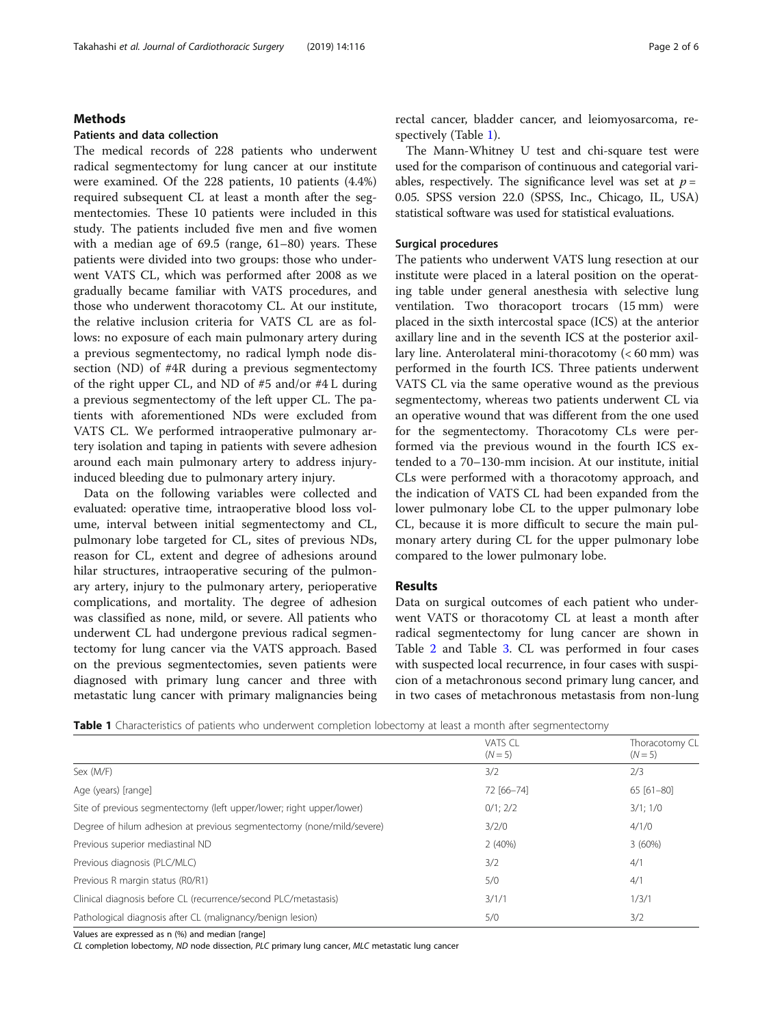#### <span id="page-1-0"></span>Methods

#### Patients and data collection

The medical records of 228 patients who underwent radical segmentectomy for lung cancer at our institute were examined. Of the 228 patients, 10 patients (4.4%) required subsequent CL at least a month after the segmentectomies. These 10 patients were included in this study. The patients included five men and five women with a median age of 69.5 (range, 61–80) years. These patients were divided into two groups: those who underwent VATS CL, which was performed after 2008 as we gradually became familiar with VATS procedures, and those who underwent thoracotomy CL. At our institute, the relative inclusion criteria for VATS CL are as follows: no exposure of each main pulmonary artery during a previous segmentectomy, no radical lymph node dissection (ND) of #4R during a previous segmentectomy of the right upper CL, and ND of #5 and/or #4 L during a previous segmentectomy of the left upper CL. The patients with aforementioned NDs were excluded from VATS CL. We performed intraoperative pulmonary artery isolation and taping in patients with severe adhesion around each main pulmonary artery to address injuryinduced bleeding due to pulmonary artery injury.

Data on the following variables were collected and evaluated: operative time, intraoperative blood loss volume, interval between initial segmentectomy and CL, pulmonary lobe targeted for CL, sites of previous NDs, reason for CL, extent and degree of adhesions around hilar structures, intraoperative securing of the pulmonary artery, injury to the pulmonary artery, perioperative complications, and mortality. The degree of adhesion was classified as none, mild, or severe. All patients who underwent CL had undergone previous radical segmentectomy for lung cancer via the VATS approach. Based on the previous segmentectomies, seven patients were diagnosed with primary lung cancer and three with metastatic lung cancer with primary malignancies being rectal cancer, bladder cancer, and leiomyosarcoma, respectively (Table 1).

The Mann-Whitney U test and chi-square test were used for the comparison of continuous and categorial variables, respectively. The significance level was set at  $p =$ 0.05. SPSS version 22.0 (SPSS, Inc., Chicago, IL, USA) statistical software was used for statistical evaluations.

#### Surgical procedures

The patients who underwent VATS lung resection at our institute were placed in a lateral position on the operating table under general anesthesia with selective lung ventilation. Two thoracoport trocars (15 mm) were placed in the sixth intercostal space (ICS) at the anterior axillary line and in the seventh ICS at the posterior axillary line. Anterolateral mini-thoracotomy (< 60 mm) was performed in the fourth ICS. Three patients underwent VATS CL via the same operative wound as the previous segmentectomy, whereas two patients underwent CL via an operative wound that was different from the one used for the segmentectomy. Thoracotomy CLs were performed via the previous wound in the fourth ICS extended to a 70–130-mm incision. At our institute, initial CLs were performed with a thoracotomy approach, and the indication of VATS CL had been expanded from the lower pulmonary lobe CL to the upper pulmonary lobe CL, because it is more difficult to secure the main pulmonary artery during CL for the upper pulmonary lobe compared to the lower pulmonary lobe.

#### Results

Data on surgical outcomes of each patient who underwent VATS or thoracotomy CL at least a month after radical segmentectomy for lung cancer are shown in Table [2](#page-2-0) and Table [3](#page-3-0). CL was performed in four cases with suspected local recurrence, in four cases with suspicion of a metachronous second primary lung cancer, and in two cases of metachronous metastasis from non-lung

**Table 1** Characteristics of patients who underwent completion lobectomy at least a month after segmentectomy

|                                                                       | <b>VATS CL</b><br>$(N = 5)$ | Thoracotomy CL<br>$(N = 5)$ |
|-----------------------------------------------------------------------|-----------------------------|-----------------------------|
| Sex (M/F)                                                             | 3/2                         | 2/3                         |
| Age (years) [range]                                                   | 72 [66-74]                  | 65 [61-80]                  |
| Site of previous segmentectomy (left upper/lower; right upper/lower)  | 0/1:2/2                     | 3/1; 1/0                    |
| Degree of hilum adhesion at previous segmentectomy (none/mild/severe) | 3/2/0                       | 4/1/0                       |
| Previous superior mediastinal ND                                      | 2(40%)                      | 3(60%)                      |
| Previous diagnosis (PLC/MLC)                                          | 3/2                         | 4/1                         |
| Previous R margin status (R0/R1)                                      | 5/0                         | 4/1                         |
| Clinical diagnosis before CL (recurrence/second PLC/metastasis)       | 3/1/1                       | 1/3/1                       |
| Pathological diagnosis after CL (malignancy/benign lesion)            | 5/0                         | 3/2                         |

Values are expressed as n (%) and median [range]

CL completion lobectomy, ND node dissection, PLC primary lung cancer, MLC metastatic lung cancer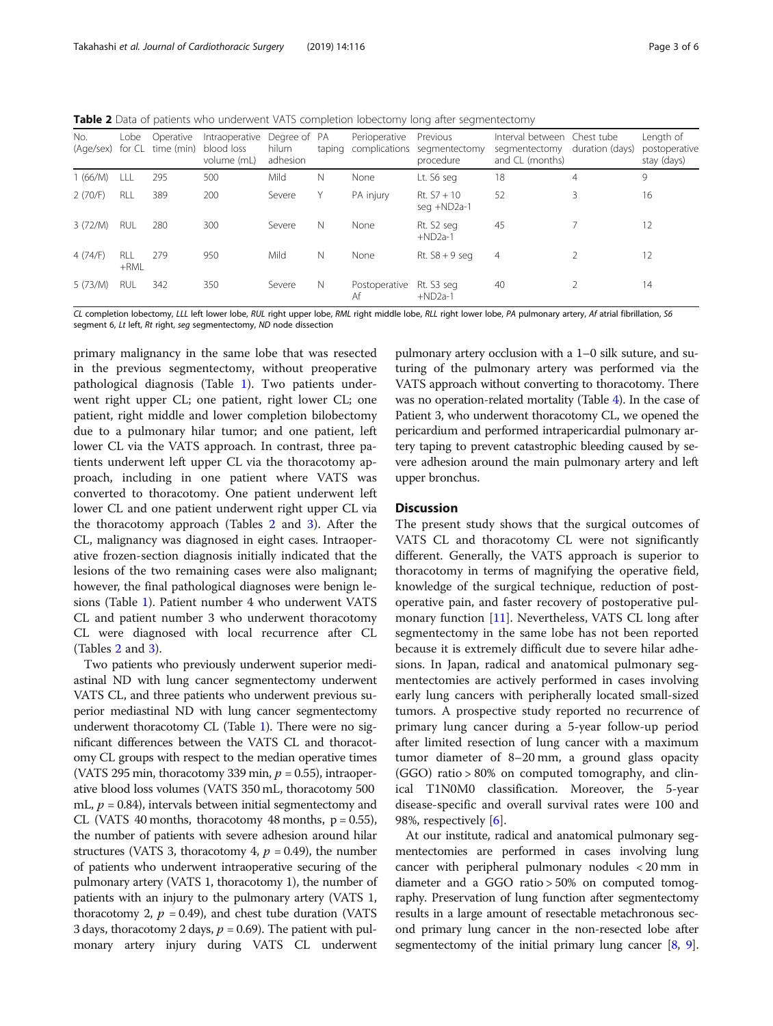<span id="page-2-0"></span>**Table 2** Data of patients who underwent VATS completion lobectomy long after segmentectomy

| No.<br>(Age/sex) | for CL         | Lobe Operative<br>time (min) | Intraoperative<br>blood loss<br>volume (mL) | Degree of PA<br>hilum<br>adhesion | taping | Perioperative<br>complications | Previous<br>segmentectomy<br>procedure | Interval between Chest tube<br>segmentectomy<br>and CL (months) | duration (days) | Length of<br>postoperative<br>stay (days) |
|------------------|----------------|------------------------------|---------------------------------------------|-----------------------------------|--------|--------------------------------|----------------------------------------|-----------------------------------------------------------------|-----------------|-------------------------------------------|
| 1 (66/M)         | Ш              | 295                          | 500                                         | Mild                              | N      | None                           | Lt. S6 seg                             | 18                                                              | $\overline{4}$  | 9                                         |
| 2(70/F)          | RLL            | 389                          | 200                                         | Severe                            | Υ      | PA injury                      | $Rt. S7 + 10$<br>seg +ND2a-1           | 52                                                              | 3               | 16                                        |
| 3(72/M)          | RUL            | 280                          | 300                                         | Severe                            | N      | None                           | Rt. S2 seg<br>$+ND2a-1$                | 45                                                              |                 | 12                                        |
| 4(74/F)          | RLL<br>$+$ RML | 279                          | 950                                         | Mild                              | N      | None                           | Rt. $S8 + 9$ seg                       | 4                                                               |                 | 12                                        |
| 5(73/M)          | <b>RUL</b>     | 342                          | 350                                         | Severe                            | N      | Postoperative<br>Af            | Rt. S3 seg<br>$+ND2a-1$                | 40                                                              |                 | 14                                        |

CL completion lobectomy, LLL left lower lobe, RUL right upper lobe, RML right middle lobe, RLL right lower lobe, PA pulmonary artery, Af atrial fibrillation, S6 segment 6, Lt left, Rt right, seg segmentectomy, ND node dissection

primary malignancy in the same lobe that was resected in the previous segmentectomy, without preoperative pathological diagnosis (Table [1\)](#page-1-0). Two patients underwent right upper CL; one patient, right lower CL; one patient, right middle and lower completion bilobectomy due to a pulmonary hilar tumor; and one patient, left lower CL via the VATS approach. In contrast, three patients underwent left upper CL via the thoracotomy approach, including in one patient where VATS was converted to thoracotomy. One patient underwent left lower CL and one patient underwent right upper CL via the thoracotomy approach (Tables 2 and [3\)](#page-3-0). After the CL, malignancy was diagnosed in eight cases. Intraoperative frozen-section diagnosis initially indicated that the lesions of the two remaining cases were also malignant; however, the final pathological diagnoses were benign lesions (Table [1](#page-1-0)). Patient number 4 who underwent VATS CL and patient number 3 who underwent thoracotomy CL were diagnosed with local recurrence after CL (Tables 2 and [3\)](#page-3-0).

Two patients who previously underwent superior mediastinal ND with lung cancer segmentectomy underwent VATS CL, and three patients who underwent previous superior mediastinal ND with lung cancer segmentectomy underwent thoracotomy CL (Table [1\)](#page-1-0). There were no significant differences between the VATS CL and thoracotomy CL groups with respect to the median operative times (VATS 295 min, thoracotomy 339 min,  $p = 0.55$ ), intraoperative blood loss volumes (VATS 350 mL, thoracotomy 500 mL,  $p = 0.84$ ), intervals between initial segmentectomy and CL (VATS 40 months, thoracotomy 48 months,  $p = 0.55$ ), the number of patients with severe adhesion around hilar structures (VATS 3, thoracotomy 4,  $p = 0.49$ ), the number of patients who underwent intraoperative securing of the pulmonary artery (VATS 1, thoracotomy 1), the number of patients with an injury to the pulmonary artery (VATS 1, thoracotomy 2,  $p = 0.49$ ), and chest tube duration (VATS 3 days, thoracotomy 2 days,  $p = 0.69$ ). The patient with pulmonary artery injury during VATS CL underwent pulmonary artery occlusion with a 1–0 silk suture, and suturing of the pulmonary artery was performed via the VATS approach without converting to thoracotomy. There was no operation-related mortality (Table [4](#page-4-0)). In the case of Patient 3, who underwent thoracotomy CL, we opened the pericardium and performed intrapericardial pulmonary artery taping to prevent catastrophic bleeding caused by severe adhesion around the main pulmonary artery and left upper bronchus.

### **Discussion**

The present study shows that the surgical outcomes of VATS CL and thoracotomy CL were not significantly different. Generally, the VATS approach is superior to thoracotomy in terms of magnifying the operative field, knowledge of the surgical technique, reduction of postoperative pain, and faster recovery of postoperative pulmonary function [\[11\]](#page-5-0). Nevertheless, VATS CL long after segmentectomy in the same lobe has not been reported because it is extremely difficult due to severe hilar adhesions. In Japan, radical and anatomical pulmonary segmentectomies are actively performed in cases involving early lung cancers with peripherally located small-sized tumors. A prospective study reported no recurrence of primary lung cancer during a 5-year follow-up period after limited resection of lung cancer with a maximum tumor diameter of 8–20 mm, a ground glass opacity (GGO) ratio > 80% on computed tomography, and clinical T1N0M0 classification. Moreover, the 5-year disease-specific and overall survival rates were 100 and 98%, respectively [\[6](#page-5-0)].

At our institute, radical and anatomical pulmonary segmentectomies are performed in cases involving lung cancer with peripheral pulmonary nodules < 20 mm in diameter and a GGO ratio > 50% on computed tomography. Preservation of lung function after segmentectomy results in a large amount of resectable metachronous second primary lung cancer in the non-resected lobe after segmentectomy of the initial primary lung cancer [\[8](#page-5-0), [9](#page-5-0)].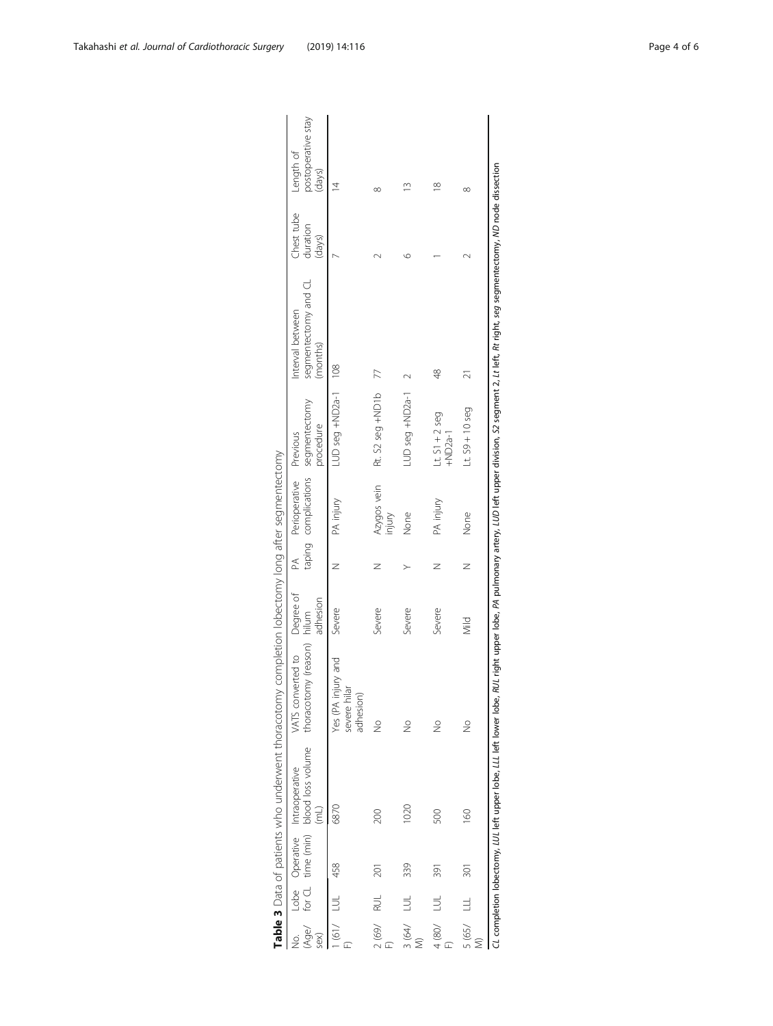<span id="page-3-0"></span>

|             |                 |                                                                    | Table 3 Data of patients who underwent thoracotomy completion lobectomy long after segmentectomy |                       |               |                        |                                                 |                                                                                                                                            |                                  |                                           |
|-------------|-----------------|--------------------------------------------------------------------|--------------------------------------------------------------------------------------------------|-----------------------|---------------|------------------------|-------------------------------------------------|--------------------------------------------------------------------------------------------------------------------------------------------|----------------------------------|-------------------------------------------|
| sex)        |                 | -obe Operative Intraoperative<br>(m)                               | for CL time (min) blood loss volume thoracotomy (reason) hilum<br>VATS converted to              | Degree of<br>adhesion | $P\mathsf{A}$ | Perioperative Previous | taping complications segmentectomy<br>procedure | segmentectomy and CL<br>Interval between<br>(months)                                                                                       | Chest tube<br>duration<br>(days) | postoperative stay<br>Length of<br>(days) |
| 161/        | 458             | 6870                                                               | Yes (PA injury and<br>severe hilar<br>adhesion                                                   | Severe                |               | PA injury              | LUD seg +ND2a-1 108                             |                                                                                                                                            |                                  | $\overline{4}$                            |
| $2(69)$ RUL | 201             | 200                                                                | ş                                                                                                | Severe                | z             | Azygos vein<br>mjury   | Rt. S2 seg +ND1b                                | 77                                                                                                                                         |                                  | $\infty$                                  |
| 3 (64)      | 339             | 1020                                                               | $\frac{1}{2}$                                                                                    | Severe                |               | None                   | LUD seg +ND2a-1                                 |                                                                                                                                            | ١C                               |                                           |
| 4 (80/      | 391             | 500                                                                | $\frac{1}{2}$                                                                                    | Severe                | z             | PA injury              | Lt. $S1 + 2$ seg<br>$+$ ND <sub>2a</sub> -1     | $\frac{8}{4}$                                                                                                                              |                                  | ≌                                         |
| 5 (65/ LLL  | $\overline{50}$ | 160                                                                | $\frac{1}{2}$                                                                                    | Mild                  | z             | None                   | Lt. $59 + 10$ seg                               |                                                                                                                                            |                                  | $\infty$                                  |
|             |                 | CL completion lobectomy, LUL left upper lobe, LLL left lower lobe, |                                                                                                  |                       |               |                        |                                                 | RUL right upper lobe, PA pulmonary artery, LUD left upper division, S2 segment 2, Lt left, Rt right, seg segmentectomy, ND node dissection |                                  |                                           |

| $\frac{1}{2}$            |
|--------------------------|
| l                        |
|                          |
|                          |
|                          |
|                          |
| ١                        |
|                          |
|                          |
|                          |
|                          |
|                          |
|                          |
|                          |
|                          |
|                          |
|                          |
|                          |
|                          |
|                          |
|                          |
| $\overline{\phantom{a}}$ |
|                          |
|                          |
|                          |
|                          |
|                          |
|                          |
|                          |
|                          |
|                          |
|                          |
|                          |
|                          |
|                          |
|                          |
|                          |
|                          |
|                          |
|                          |
|                          |
|                          |
|                          |
| ١                        |
|                          |
|                          |
|                          |
|                          |
|                          |
| I                        |
|                          |
|                          |
| ı                        |
|                          |
|                          |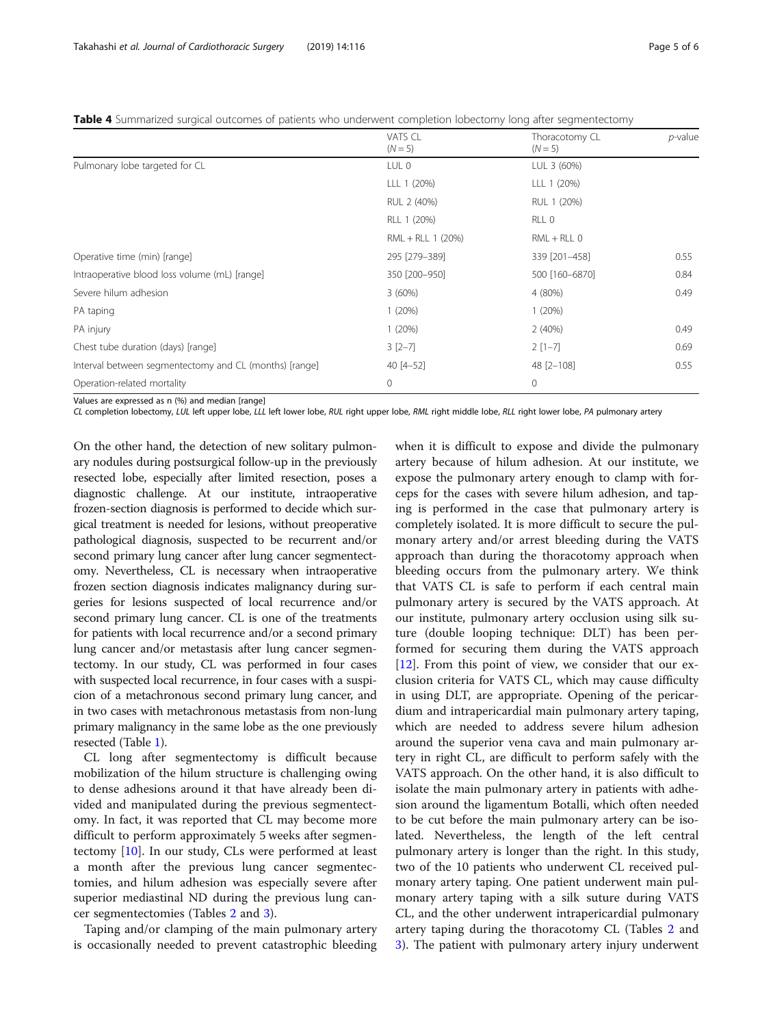<span id="page-4-0"></span>Table 4 Summarized surgical outcomes of patients who underwent completion lobectomy long after segmentectomy

|                                                        | <b>VATS CL</b><br>$(N = 5)$ | Thoracotomy CL<br>$(N = 5)$ | $p$ -value |
|--------------------------------------------------------|-----------------------------|-----------------------------|------------|
| Pulmonary lobe targeted for CL                         | LUL <sub>0</sub>            | LUL 3 (60%)                 |            |
|                                                        | LLL 1 (20%)                 | LLL 1 (20%)                 |            |
|                                                        | RUL 2 (40%)                 | RUL 1 (20%)                 |            |
|                                                        | RLL 1 (20%)                 | RLL 0                       |            |
|                                                        | RML + RLL 1 (20%)           | $RML + RLL$ 0               |            |
| Operative time (min) [range]                           | 295 [279-389]               | 339 [201-458]               | 0.55       |
| Intraoperative blood loss volume (mL) [range]          | 350 [200-950]               | 500 [160-6870]              | 0.84       |
| Severe hilum adhesion                                  | 3(60%)                      | 4 (80%)                     | 0.49       |
| PA taping                                              | 1(20%)                      | 1(20%)                      |            |
| PA injury                                              | 1(20%)                      | 2(40%)                      | 0.49       |
| Chest tube duration (days) [range]                     | $3[2-7]$                    | $2[1-7]$                    | 0.69       |
| Interval between segmentectomy and CL (months) [range] | 40 [4-52]                   | 48 [2-108]                  | 0.55       |
| Operation-related mortality                            | $\mathbf{0}$                | 0                           |            |

Values are expressed as n (%) and median [range]

CL completion lobectomy, LUL left upper lobe, LLL left lower lobe, RUL right upper lobe, RML right middle lobe, RLL right lower lobe, PA pulmonary artery

On the other hand, the detection of new solitary pulmonary nodules during postsurgical follow-up in the previously resected lobe, especially after limited resection, poses a diagnostic challenge. At our institute, intraoperative frozen-section diagnosis is performed to decide which surgical treatment is needed for lesions, without preoperative pathological diagnosis, suspected to be recurrent and/or second primary lung cancer after lung cancer segmentectomy. Nevertheless, CL is necessary when intraoperative frozen section diagnosis indicates malignancy during surgeries for lesions suspected of local recurrence and/or second primary lung cancer. CL is one of the treatments for patients with local recurrence and/or a second primary lung cancer and/or metastasis after lung cancer segmentectomy. In our study, CL was performed in four cases with suspected local recurrence, in four cases with a suspicion of a metachronous second primary lung cancer, and in two cases with metachronous metastasis from non-lung primary malignancy in the same lobe as the one previously resected (Table [1\)](#page-1-0).

CL long after segmentectomy is difficult because mobilization of the hilum structure is challenging owing to dense adhesions around it that have already been divided and manipulated during the previous segmentectomy. In fact, it was reported that CL may become more difficult to perform approximately 5 weeks after segmentectomy [\[10](#page-5-0)]. In our study, CLs were performed at least a month after the previous lung cancer segmentectomies, and hilum adhesion was especially severe after superior mediastinal ND during the previous lung cancer segmentectomies (Tables [2](#page-2-0) and [3](#page-3-0)).

Taping and/or clamping of the main pulmonary artery is occasionally needed to prevent catastrophic bleeding

when it is difficult to expose and divide the pulmonary artery because of hilum adhesion. At our institute, we expose the pulmonary artery enough to clamp with forceps for the cases with severe hilum adhesion, and taping is performed in the case that pulmonary artery is completely isolated. It is more difficult to secure the pulmonary artery and/or arrest bleeding during the VATS approach than during the thoracotomy approach when bleeding occurs from the pulmonary artery. We think that VATS CL is safe to perform if each central main pulmonary artery is secured by the VATS approach. At our institute, pulmonary artery occlusion using silk suture (double looping technique: DLT) has been performed for securing them during the VATS approach [[12\]](#page-5-0). From this point of view, we consider that our exclusion criteria for VATS CL, which may cause difficulty in using DLT, are appropriate. Opening of the pericardium and intrapericardial main pulmonary artery taping, which are needed to address severe hilum adhesion around the superior vena cava and main pulmonary artery in right CL, are difficult to perform safely with the VATS approach. On the other hand, it is also difficult to isolate the main pulmonary artery in patients with adhesion around the ligamentum Botalli, which often needed to be cut before the main pulmonary artery can be isolated. Nevertheless, the length of the left central pulmonary artery is longer than the right. In this study, two of the 10 patients who underwent CL received pulmonary artery taping. One patient underwent main pulmonary artery taping with a silk suture during VATS CL, and the other underwent intrapericardial pulmonary artery taping during the thoracotomy CL (Tables [2](#page-2-0) and [3\)](#page-3-0). The patient with pulmonary artery injury underwent